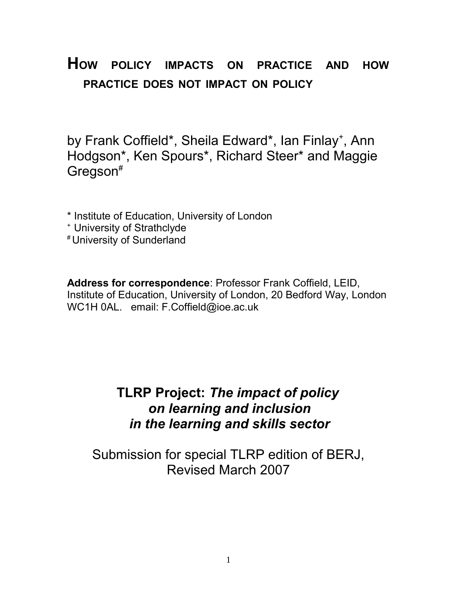# **HOW POLICY IMPACTS ON PRACTICE AND HOW PRACTICE DOES NOT IMPACT ON POLICY**

by Frank Coffield\*, Sheila Edward\*, Ian Finlay<sup>+</sup>, Ann Hodgson\*, Ken Spours\*, Richard Steer\* and Maggie Gregson#

- \* Institute of Education, University of London
- <sup>+</sup>University of Strathclyde

# University of Sunderland

**Address for correspondence**: Professor Frank Coffield, LEID, Institute of Education, University of London, 20 Bedford Way, London WC1H 0AL. email: F.Coffield@ioe.ac.uk

## **TLRP Project:** *The impact of policy on learning and inclusion in the learning and skills sector*

Submission for special TLRP edition of BERJ, Revised March 2007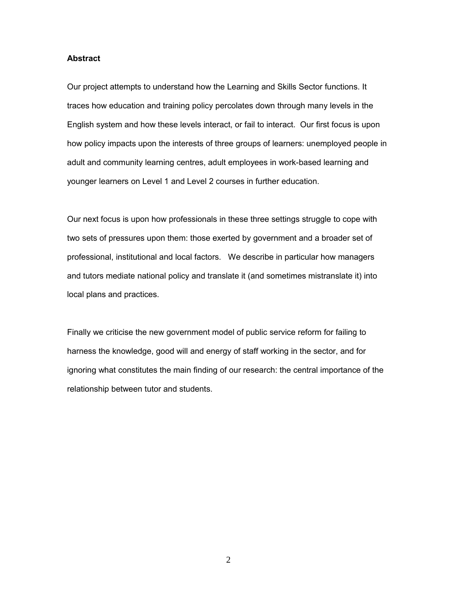#### **Abstract**

Our project attempts to understand how the Learning and Skills Sector functions. It traces how education and training policy percolates down through many levels in the English system and how these levels interact, or fail to interact. Our first focus is upon how policy impacts upon the interests of three groups of learners: unemployed people in adult and community learning centres, adult employees in work-based learning and younger learners on Level 1 and Level 2 courses in further education.

Our next focus is upon how professionals in these three settings struggle to cope with two sets of pressures upon them: those exerted by government and a broader set of professional, institutional and local factors. We describe in particular how managers and tutors mediate national policy and translate it (and sometimes mistranslate it) into local plans and practices.

Finally we criticise the new government model of public service reform for failing to harness the knowledge, good will and energy of staff working in the sector, and for ignoring what constitutes the main finding of our research: the central importance of the relationship between tutor and students.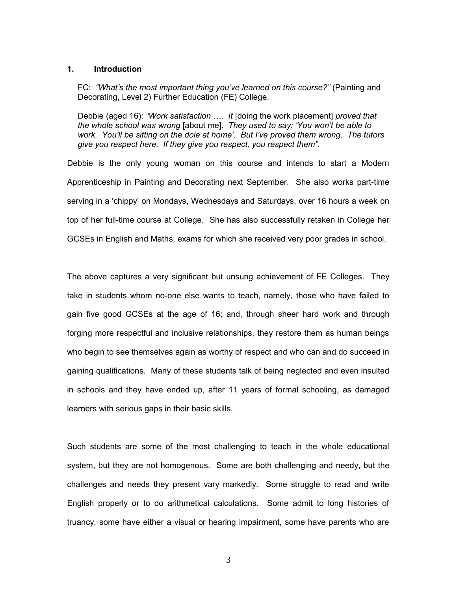#### **1. Introduction**

FC: *"What's the most important thing you've learned on this course?"* (Painting and Decorating, Level 2) Further Education (FE) College.

Debbie (aged 16): *"Work satisfaction …. It* [doing the work placement] *proved that the whole school was wrong* [about me]. *They used to say: 'You won't be able to work. You'll be sitting on the dole at home'. But I've proved them wrong. The tutors give you respect here. If they give you respect, you respect them".*

Debbie is the only young woman on this course and intends to start a Modern Apprenticeship in Painting and Decorating next September. She also works part-time serving in a 'chippy' on Mondays, Wednesdays and Saturdays, over 16 hours a week on top of her full-time course at College. She has also successfully retaken in College her GCSEs in English and Maths, exams for which she received very poor grades in school.

The above captures a very significant but unsung achievement of FE Colleges. They take in students whom no-one else wants to teach, namely, those who have failed to gain five good GCSEs at the age of 16; and, through sheer hard work and through forging more respectful and inclusive relationships, they restore them as human beings who begin to see themselves again as worthy of respect and who can and do succeed in gaining qualifications. Many of these students talk of being neglected and even insulted in schools and they have ended up, after 11 years of formal schooling, as damaged learners with serious gaps in their basic skills.

Such students are some of the most challenging to teach in the whole educational system, but they are not homogenous. Some are both challenging and needy, but the challenges and needs they present vary markedly. Some struggle to read and write English properly or to do arithmetical calculations. Some admit to long histories of truancy, some have either a visual or hearing impairment, some have parents who are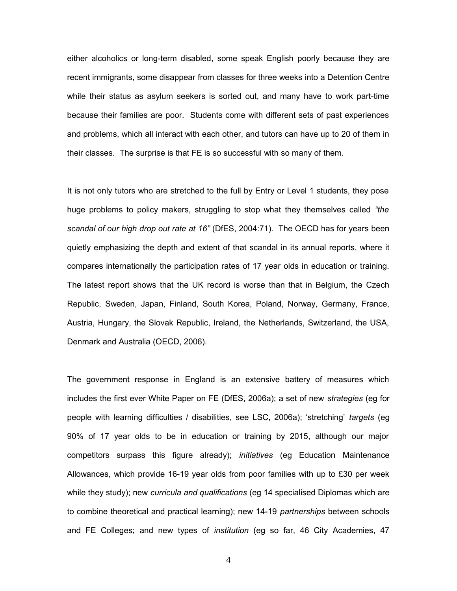either alcoholics or long-term disabled, some speak English poorly because they are recent immigrants, some disappear from classes for three weeks into a Detention Centre while their status as asylum seekers is sorted out, and many have to work part-time because their families are poor. Students come with different sets of past experiences and problems, which all interact with each other, and tutors can have up to 20 of them in their classes. The surprise is that FE is so successful with so many of them.

It is not only tutors who are stretched to the full by Entry or Level 1 students, they pose huge problems to policy makers, struggling to stop what they themselves called *"the scandal of our high drop out rate at 16"* (DfES, 2004:71). The OECD has for years been quietly emphasizing the depth and extent of that scandal in its annual reports, where it compares internationally the participation rates of 17 year olds in education or training. The latest report shows that the UK record is worse than that in Belgium, the Czech Republic, Sweden, Japan, Finland, South Korea, Poland, Norway, Germany, France, Austria, Hungary, the Slovak Republic, Ireland, the Netherlands, Switzerland, the USA, Denmark and Australia (OECD, 2006).

The government response in England is an extensive battery of measures which includes the first ever White Paper on FE (DfES, 2006a); a set of new *strategies* (eg for people with learning difficulties / disabilities, see LSC, 2006a); 'stretching' *targets* (eg 90% of 17 year olds to be in education or training by 2015, although our major competitors surpass this figure already); *initiatives* (eg Education Maintenance Allowances, which provide 16-19 year olds from poor families with up to £30 per week while they study); new *curricula and qualifications* (eg 14 specialised Diplomas which are to combine theoretical and practical learning); new 14-19 *partnerships* between schools and FE Colleges; and new types of *institution* (eg so far, 46 City Academies, 47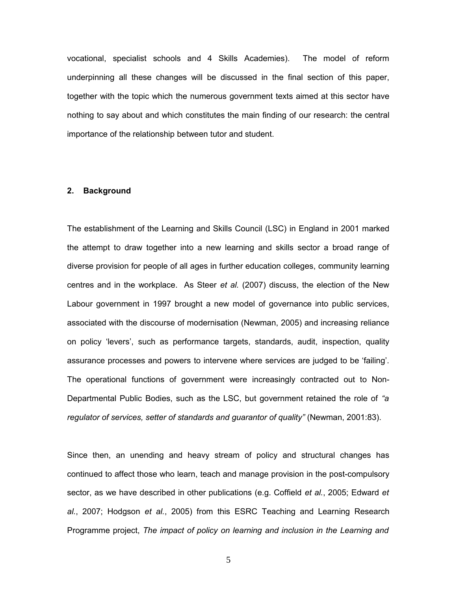vocational, specialist schools and 4 Skills Academies). The model of reform underpinning all these changes will be discussed in the final section of this paper, together with the topic which the numerous government texts aimed at this sector have nothing to say about and which constitutes the main finding of our research: the central importance of the relationship between tutor and student.

#### **2. Background**

The establishment of the Learning and Skills Council (LSC) in England in 2001 marked the attempt to draw together into a new learning and skills sector a broad range of diverse provision for people of all ages in further education colleges, community learning centres and in the workplace. As Steer *et al.* (2007) discuss, the election of the New Labour government in 1997 brought a new model of governance into public services, associated with the discourse of modernisation (Newman, 2005) and increasing reliance on policy 'levers', such as performance targets, standards, audit, inspection, quality assurance processes and powers to intervene where services are judged to be 'failing'. The operational functions of government were increasingly contracted out to Non-Departmental Public Bodies, such as the LSC, but government retained the role of *"a regulator of services, setter of standards and guarantor of quality"* (Newman, 2001:83).

Since then, an unending and heavy stream of policy and structural changes has continued to affect those who learn, teach and manage provision in the post-compulsory sector, as we have described in other publications (e.g. Coffield *et al.*, 2005; Edward *et al.*, 2007; Hodgson *et al.*, 2005) from this ESRC Teaching and Learning Research Programme project, *The impact of policy on learning and inclusion in the Learning and*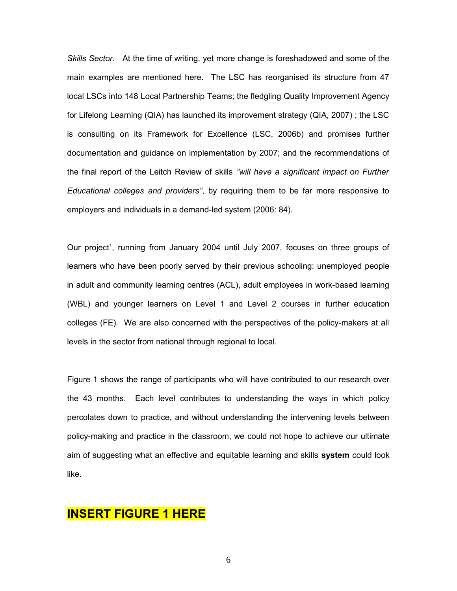*Skills Sector*. At the time of writing, yet more change is foreshadowed and some of the main examples are mentioned here. The LSC has reorganised its structure from 47 local LSCs into 148 Local Partnership Teams; the fledgling Quality Improvement Agency for Lifelong Learning (QIA) has launched its improvement strategy (QIA, 2007) ; the LSC is consulting on its Framework for Excellence (LSC, 2006b) and promises further documentation and guidance on implementation by 2007; and the recommendations of the final report of the Leitch Review of skills *"will have a significant impact on Further Educational colleges and providers"*, by requiring them to be far more responsive to employers and individuals in a demand-led system (2006: 84).

Our project<sup>[1](#page-29-0)</sup>, running from January 2004 until July 2007, focuses on three groups of learners who have been poorly served by their previous schooling: unemployed people in adult and community learning centres (ACL), adult employees in work-based learning (WBL) and younger learners on Level 1 and Level 2 courses in further education colleges (FE). We are also concerned with the perspectives of the policy-makers at all levels in the sector from national through regional to local.

Figure 1 shows the range of participants who will have contributed to our research over the 43 months. Each level contributes to understanding the ways in which policy percolates down to practice, and without understanding the intervening levels between policy-making and practice in the classroom, we could not hope to achieve our ultimate aim of suggesting what an effective and equitable learning and skills **system** could look like.

### **INSERT FIGURE 1 HERE**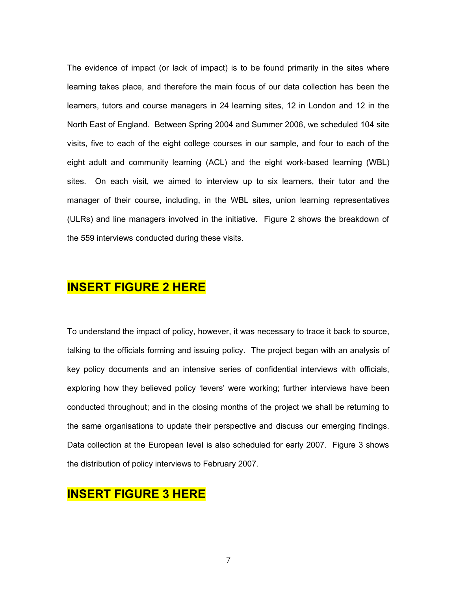The evidence of impact (or lack of impact) is to be found primarily in the sites where learning takes place, and therefore the main focus of our data collection has been the learners, tutors and course managers in 24 learning sites, 12 in London and 12 in the North East of England. Between Spring 2004 and Summer 2006, we scheduled 104 site visits, five to each of the eight college courses in our sample, and four to each of the eight adult and community learning (ACL) and the eight work-based learning (WBL) sites. On each visit, we aimed to interview up to six learners, their tutor and the manager of their course, including, in the WBL sites, union learning representatives (ULRs) and line managers involved in the initiative. Figure 2 shows the breakdown of the 559 interviews conducted during these visits.

### **INSERT FIGURE 2 HERE**

To understand the impact of policy, however, it was necessary to trace it back to source, talking to the officials forming and issuing policy. The project began with an analysis of key policy documents and an intensive series of confidential interviews with officials, exploring how they believed policy 'levers' were working; further interviews have been conducted throughout; and in the closing months of the project we shall be returning to the same organisations to update their perspective and discuss our emerging findings. Data collection at the European level is also scheduled for early 2007. Figure 3 shows the distribution of policy interviews to February 2007.

### **INSERT FIGURE 3 HERE**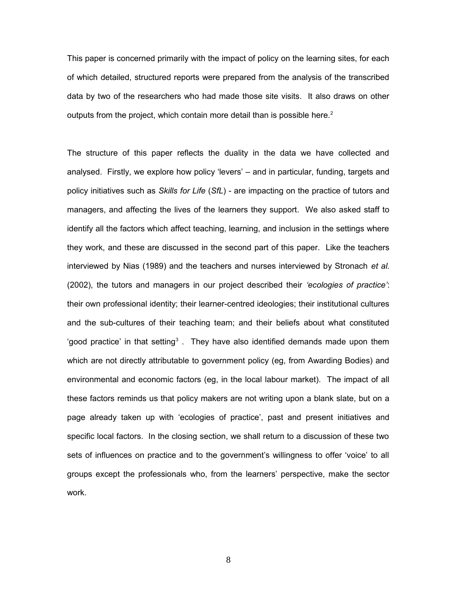This paper is concerned primarily with the impact of policy on the learning sites, for each of which detailed, structured reports were prepared from the analysis of the transcribed data by two of the researchers who had made those site visits. It also draws on other outputs from the project, which contain more detail than is possible here. $2$ 

The structure of this paper reflects the duality in the data we have collected and analysed. Firstly, we explore how policy 'levers' – and in particular, funding, targets and policy initiatives such as *Skills for Life* (*SfL*) - are impacting on the practice of tutors and managers, and affecting the lives of the learners they support. We also asked staff to identify all the factors which affect teaching, learning, and inclusion in the settings where they work, and these are discussed in the second part of this paper. Like the teachers interviewed by Nias (1989) and the teachers and nurses interviewed by Stronach *et al.* (2002), the tutors and managers in our project described their *'ecologies of practice'*: their own professional identity; their learner-centred ideologies; their institutional cultures and the sub-cultures of their teaching team; and their beliefs about what constituted 'good practice' in that setting<sup>[3](#page-29-2)</sup>. They have also identified demands made upon them which are not directly attributable to government policy (eg, from Awarding Bodies) and environmental and economic factors (eg, in the local labour market). The impact of all these factors reminds us that policy makers are not writing upon a blank slate, but on a page already taken up with 'ecologies of practice', past and present initiatives and specific local factors. In the closing section, we shall return to a discussion of these two sets of influences on practice and to the government's willingness to offer 'voice' to all groups except the professionals who, from the learners' perspective, make the sector work.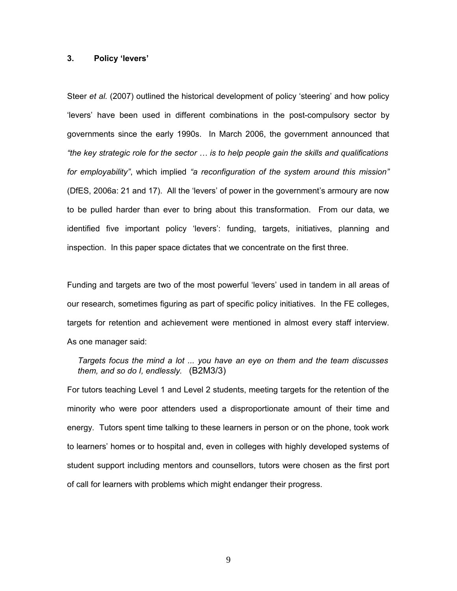#### **3. Policy 'levers'**

Steer *et al.* (2007) outlined the historical development of policy 'steering' and how policy 'levers' have been used in different combinations in the post-compulsory sector by governments since the early 1990s. In March 2006, the government announced that *"the key strategic role for the sector … is to help people gain the skills and qualifications for employability"*, which implied *"a reconfiguration of the system around this mission"* (DfES, 2006a: 21 and 17). All the 'levers' of power in the government's armoury are now to be pulled harder than ever to bring about this transformation. From our data, we identified five important policy 'levers': funding, targets, initiatives, planning and inspection. In this paper space dictates that we concentrate on the first three.

Funding and targets are two of the most powerful 'levers' used in tandem in all areas of our research, sometimes figuring as part of specific policy initiatives. In the FE colleges, targets for retention and achievement were mentioned in almost every staff interview. As one manager said:

*Targets focus the mind a lot ... you have an eye on them and the team discusses them, and so do I, endlessly.* (B2M3/3)

For tutors teaching Level 1 and Level 2 students, meeting targets for the retention of the minority who were poor attenders used a disproportionate amount of their time and energy. Tutors spent time talking to these learners in person or on the phone, took work to learners' homes or to hospital and, even in colleges with highly developed systems of student support including mentors and counsellors, tutors were chosen as the first port of call for learners with problems which might endanger their progress.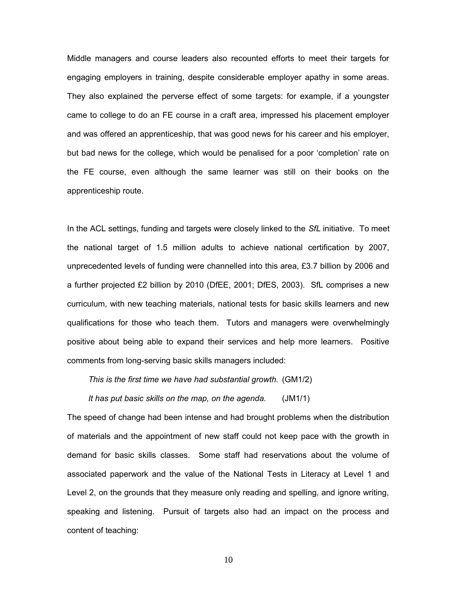Middle managers and course leaders also recounted efforts to meet their targets for engaging employers in training, despite considerable employer apathy in some areas. They also explained the perverse effect of some targets: for example, if a youngster came to college to do an FE course in a craft area, impressed his placement employer and was offered an apprenticeship, that was good news for his career and his employer, but bad news for the college, which would be penalised for a poor 'completion' rate on the FE course, even although the same learner was still on their books on the apprenticeship route.

In the ACL settings, funding and targets were closely linked to the *SfL* initiative. To meet the national target of 1.5 million adults to achieve national certification by 2007, unprecedented levels of funding were channelled into this area, £3.7 billion by 2006 and a further projected £2 billion by 2010 (DfEE, 2001; DfES, 2003). SfL comprises a new curriculum, with new teaching materials, national tests for basic skills learners and new qualifications for those who teach them. Tutors and managers were overwhelmingly positive about being able to expand their services and help more learners. Positive comments from long-serving basic skills managers included:

*This is the first time we have had substantial growth.* (GM1/2)

*It has put basic skills on the map, on the agenda.* (JM1/1)

The speed of change had been intense and had brought problems when the distribution of materials and the appointment of new staff could not keep pace with the growth in demand for basic skills classes. Some staff had reservations about the volume of associated paperwork and the value of the National Tests in Literacy at Level 1 and Level 2, on the grounds that they measure only reading and spelling, and ignore writing, speaking and listening. Pursuit of targets also had an impact on the process and content of teaching: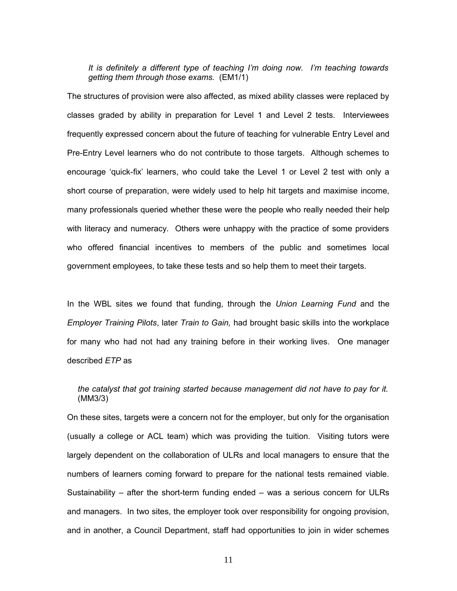*It is definitely a different type of teaching I'm doing now. I'm teaching towards getting them through those exams.* (EM1/1)

The structures of provision were also affected, as mixed ability classes were replaced by classes graded by ability in preparation for Level 1 and Level 2 tests. Interviewees frequently expressed concern about the future of teaching for vulnerable Entry Level and Pre-Entry Level learners who do not contribute to those targets. Although schemes to encourage 'quick-fix' learners, who could take the Level 1 or Level 2 test with only a short course of preparation, were widely used to help hit targets and maximise income, many professionals queried whether these were the people who really needed their help with literacy and numeracy. Others were unhappy with the practice of some providers who offered financial incentives to members of the public and sometimes local government employees, to take these tests and so help them to meet their targets.

In the WBL sites we found that funding, through the *Union Learning Fund* and the *Employer Training Pilots*, later *Train to Gain,* had brought basic skills into the workplace for many who had not had any training before in their working lives. One manager described *ETP* as

#### *the catalyst that got training started because management did not have to pay for it.* (MM3/3)

On these sites, targets were a concern not for the employer, but only for the organisation (usually a college or ACL team) which was providing the tuition. Visiting tutors were largely dependent on the collaboration of ULRs and local managers to ensure that the numbers of learners coming forward to prepare for the national tests remained viable. Sustainability – after the short-term funding ended – was a serious concern for ULRs and managers. In two sites, the employer took over responsibility for ongoing provision, and in another, a Council Department, staff had opportunities to join in wider schemes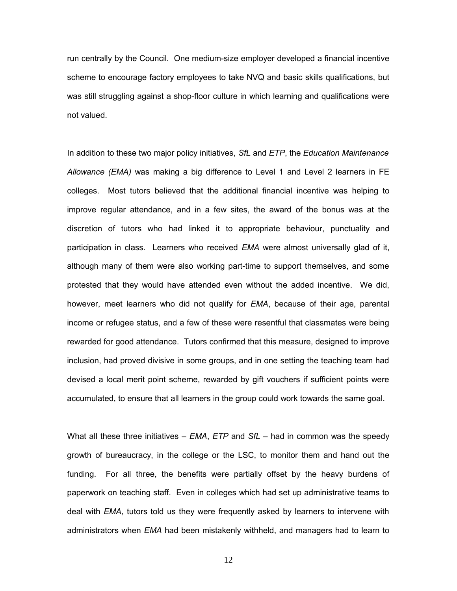run centrally by the Council. One medium-size employer developed a financial incentive scheme to encourage factory employees to take NVQ and basic skills qualifications, but was still struggling against a shop-floor culture in which learning and qualifications were not valued.

In addition to these two major policy initiatives, *SfL* and *ETP*, the *Education Maintenance Allowance (EMA)* was making a big difference to Level 1 and Level 2 learners in FE colleges. Most tutors believed that the additional financial incentive was helping to improve regular attendance, and in a few sites, the award of the bonus was at the discretion of tutors who had linked it to appropriate behaviour, punctuality and participation in class. Learners who received *EMA* were almost universally glad of it, although many of them were also working part-time to support themselves, and some protested that they would have attended even without the added incentive. We did, however, meet learners who did not qualify for *EMA*, because of their age, parental income or refugee status, and a few of these were resentful that classmates were being rewarded for good attendance. Tutors confirmed that this measure, designed to improve inclusion, had proved divisive in some groups, and in one setting the teaching team had devised a local merit point scheme, rewarded by gift vouchers if sufficient points were accumulated, to ensure that all learners in the group could work towards the same goal.

What all these three initiatives – *EMA*, *ETP* and *SfL* – had in common was the speedy growth of bureaucracy, in the college or the LSC, to monitor them and hand out the funding. For all three, the benefits were partially offset by the heavy burdens of paperwork on teaching staff. Even in colleges which had set up administrative teams to deal with *EMA*, tutors told us they were frequently asked by learners to intervene with administrators when *EMA* had been mistakenly withheld, and managers had to learn to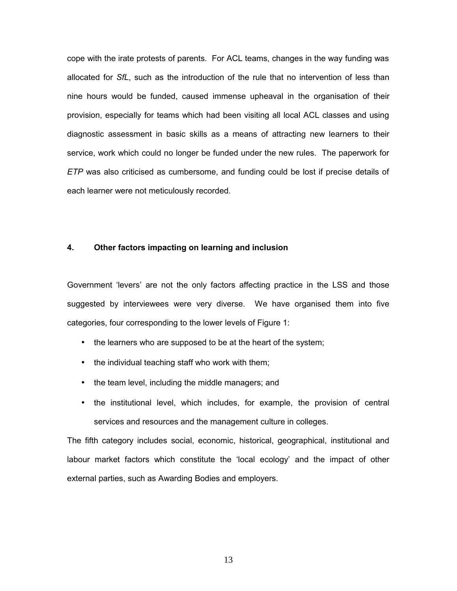cope with the irate protests of parents. For ACL teams, changes in the way funding was allocated for *SfL*, such as the introduction of the rule that no intervention of less than nine hours would be funded, caused immense upheaval in the organisation of their provision, especially for teams which had been visiting all local ACL classes and using diagnostic assessment in basic skills as a means of attracting new learners to their service, work which could no longer be funded under the new rules. The paperwork for *ETP* was also criticised as cumbersome, and funding could be lost if precise details of each learner were not meticulously recorded.

#### **4. Other factors impacting on learning and inclusion**

Government 'levers' are not the only factors affecting practice in the LSS and those suggested by interviewees were very diverse. We have organised them into five categories, four corresponding to the lower levels of Figure 1:

- the learners who are supposed to be at the heart of the system;
- the individual teaching staff who work with them;
- the team level, including the middle managers; and
- the institutional level, which includes, for example, the provision of central services and resources and the management culture in colleges.

The fifth category includes social, economic, historical, geographical, institutional and labour market factors which constitute the 'local ecology' and the impact of other external parties, such as Awarding Bodies and employers.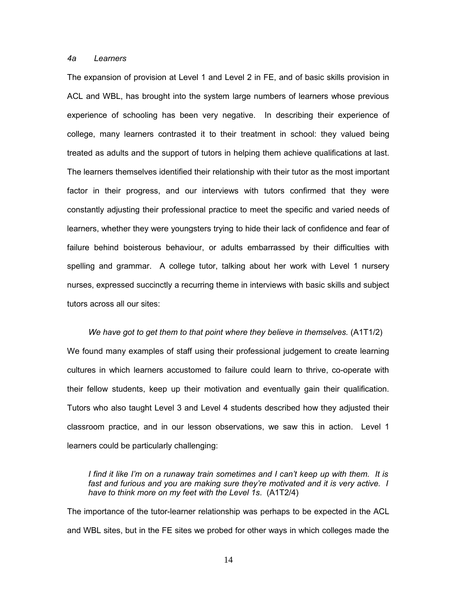#### *4a Learners*

The expansion of provision at Level 1 and Level 2 in FE, and of basic skills provision in ACL and WBL, has brought into the system large numbers of learners whose previous experience of schooling has been very negative. In describing their experience of college, many learners contrasted it to their treatment in school: they valued being treated as adults and the support of tutors in helping them achieve qualifications at last. The learners themselves identified their relationship with their tutor as the most important factor in their progress, and our interviews with tutors confirmed that they were constantly adjusting their professional practice to meet the specific and varied needs of learners, whether they were youngsters trying to hide their lack of confidence and fear of failure behind boisterous behaviour, or adults embarrassed by their difficulties with spelling and grammar. A college tutor, talking about her work with Level 1 nursery nurses, expressed succinctly a recurring theme in interviews with basic skills and subject tutors across all our sites:

*We have got to get them to that point where they believe in themselves.* (A1T1/2) We found many examples of staff using their professional judgement to create learning cultures in which learners accustomed to failure could learn to thrive, co-operate with their fellow students, keep up their motivation and eventually gain their qualification. Tutors who also taught Level 3 and Level 4 students described how they adjusted their classroom practice, and in our lesson observations, we saw this in action. Level 1 learners could be particularly challenging:

*I find it like I'm on a runaway train sometimes and I can't keep up with them. It is fast and furious and you are making sure they're motivated and it is very active. I have to think more on my feet with the Level 1s*. (A1T2/4)

The importance of the tutor-learner relationship was perhaps to be expected in the ACL and WBL sites, but in the FE sites we probed for other ways in which colleges made the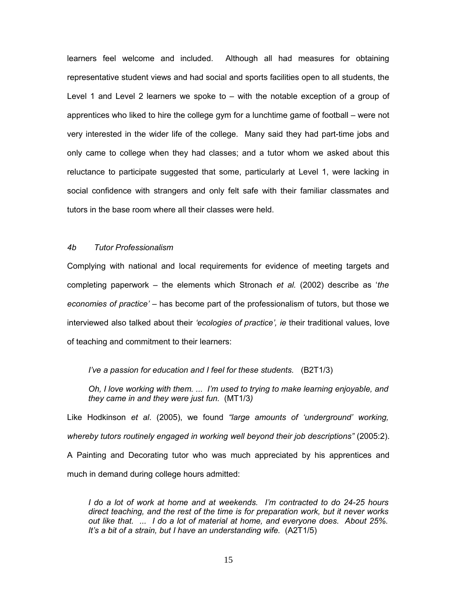learners feel welcome and included. Although all had measures for obtaining representative student views and had social and sports facilities open to all students, the Level 1 and Level 2 learners we spoke to – with the notable exception of a group of apprentices who liked to hire the college gym for a lunchtime game of football – were not very interested in the wider life of the college. Many said they had part-time jobs and only came to college when they had classes; and a tutor whom we asked about this reluctance to participate suggested that some, particularly at Level 1, were lacking in social confidence with strangers and only felt safe with their familiar classmates and tutors in the base room where all their classes were held.

#### *4b Tutor Professionalism*

Complying with national and local requirements for evidence of meeting targets and completing paperwork – the elements which Stronach *et al.* (2002) describe as '*the economies of practice'* – has become part of the professionalism of tutors, but those we interviewed also talked about their *'ecologies of practice', ie* their traditional values, love of teaching and commitment to their learners:

*I've a passion for education and I feel for these students.* (B2T1/3)

*Oh, I love working with them. ... I'm used to trying to make learning enjoyable, and they came in and they were just fun.* (MT1/3*)* 

Like Hodkinson *et al*. (2005), we found *"large amounts of 'underground' working,* whereby tutors routinely engaged in working well beyond their job descriptions" (2005:2). A Painting and Decorating tutor who was much appreciated by his apprentices and much in demand during college hours admitted:

*I do a lot of work at home and at weekends. I'm contracted to do 24-25 hours direct teaching, and the rest of the time is for preparation work, but it never works out like that. ... I do a lot of material at home, and everyone does. About 25%. It's a bit of a strain, but I have an understanding wife.* (A2T1/5)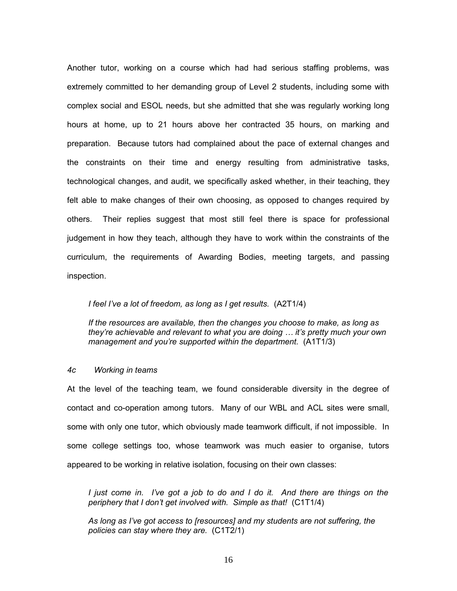Another tutor, working on a course which had had serious staffing problems, was extremely committed to her demanding group of Level 2 students, including some with complex social and ESOL needs, but she admitted that she was regularly working long hours at home, up to 21 hours above her contracted 35 hours, on marking and preparation. Because tutors had complained about the pace of external changes and the constraints on their time and energy resulting from administrative tasks, technological changes, and audit, we specifically asked whether, in their teaching, they felt able to make changes of their own choosing, as opposed to changes required by others. Their replies suggest that most still feel there is space for professional judgement in how they teach, although they have to work within the constraints of the curriculum, the requirements of Awarding Bodies, meeting targets, and passing inspection.

#### *I feel I've a lot of freedom, as long as I get results.* (A2T1/4)

*If the resources are available, then the changes you choose to make, as long as they're achievable and relevant to what you are doing … it's pretty much your own management and you're supported within the department.* (A1T1/3)

#### *4c Working in teams*

At the level of the teaching team, we found considerable diversity in the degree of contact and co-operation among tutors. Many of our WBL and ACL sites were small, some with only one tutor, which obviously made teamwork difficult, if not impossible. In some college settings too, whose teamwork was much easier to organise, tutors appeared to be working in relative isolation, focusing on their own classes:

*I just come in. I've got a job to do and I do it. And there are things on the periphery that I don't get involved with. Simple as that!* (C1T1/4)

*As long as I've got access to [resources] and my students are not suffering, the policies can stay where they are.* (C1T2/1)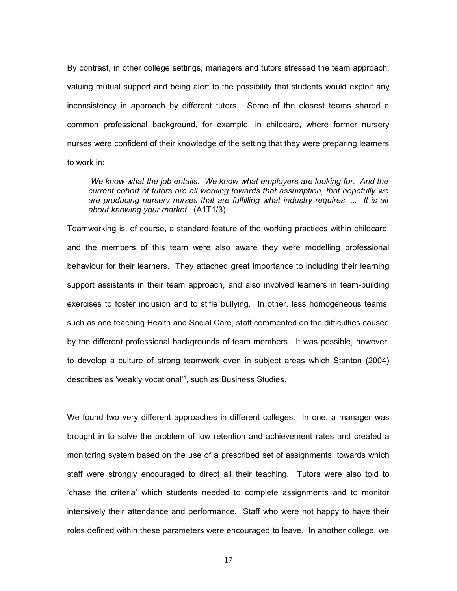By contrast, in other college settings, managers and tutors stressed the team approach, valuing mutual support and being alert to the possibility that students would exploit any inconsistency in approach by different tutors. Some of the closest teams shared a common professional background, for example, in childcare, where former nursery nurses were confident of their knowledge of the setting that they were preparing learners to work in:

 *We know what the job entails. We know what employers are looking for. And the current cohort of tutors are all working towards that assumption, that hopefully we are producing nursery nurses that are fulfilling what industry requires. ... It is all about knowing your market.* (A1T1/3)

Teamworking is, of course, a standard feature of the working practices within childcare, and the members of this team were also aware they were modelling professional behaviour for their learners. They attached great importance to including their learning support assistants in their team approach, and also involved learners in team-building exercises to foster inclusion and to stifle bullying. In other, less homogeneous teams, such as one teaching Health and Social Care, staff commented on the difficulties caused by the different professional backgrounds of team members. It was possible, however, to develop a culture of strong teamwork even in subject areas which Stanton (2004) describes as 'weakly vocational'[4](#page-29-3) , such as Business Studies.

We found two very different approaches in different colleges. In one, a manager was brought in to solve the problem of low retention and achievement rates and created a monitoring system based on the use of a prescribed set of assignments, towards which staff were strongly encouraged to direct all their teaching. Tutors were also told to 'chase the criteria' which students needed to complete assignments and to monitor intensively their attendance and performance. Staff who were not happy to have their roles defined within these parameters were encouraged to leave. In another college, we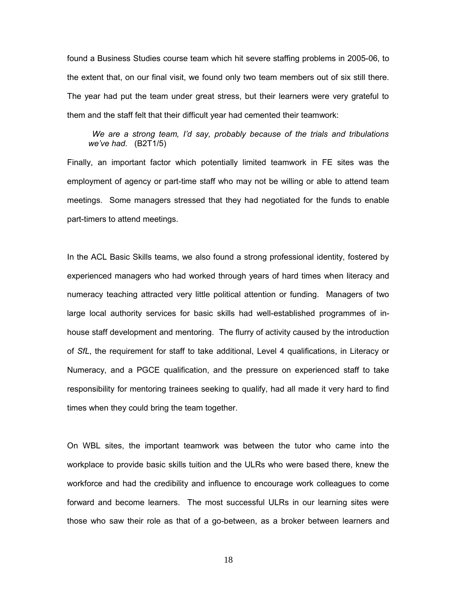found a Business Studies course team which hit severe staffing problems in 2005-06, to the extent that, on our final visit, we found only two team members out of six still there. The year had put the team under great stress, but their learners were very grateful to them and the staff felt that their difficult year had cemented their teamwork:

*We are a strong team, I'd say, probably because of the trials and tribulations we've had.* (B2T1/5)

Finally, an important factor which potentially limited teamwork in FE sites was the employment of agency or part-time staff who may not be willing or able to attend team meetings. Some managers stressed that they had negotiated for the funds to enable part-timers to attend meetings.

In the ACL Basic Skills teams, we also found a strong professional identity, fostered by experienced managers who had worked through years of hard times when literacy and numeracy teaching attracted very little political attention or funding. Managers of two large local authority services for basic skills had well-established programmes of inhouse staff development and mentoring. The flurry of activity caused by the introduction of *SfL*, the requirement for staff to take additional, Level 4 qualifications, in Literacy or Numeracy, and a PGCE qualification, and the pressure on experienced staff to take responsibility for mentoring trainees seeking to qualify, had all made it very hard to find times when they could bring the team together.

On WBL sites, the important teamwork was between the tutor who came into the workplace to provide basic skills tuition and the ULRs who were based there, knew the workforce and had the credibility and influence to encourage work colleagues to come forward and become learners. The most successful ULRs in our learning sites were those who saw their role as that of a go-between, as a broker between learners and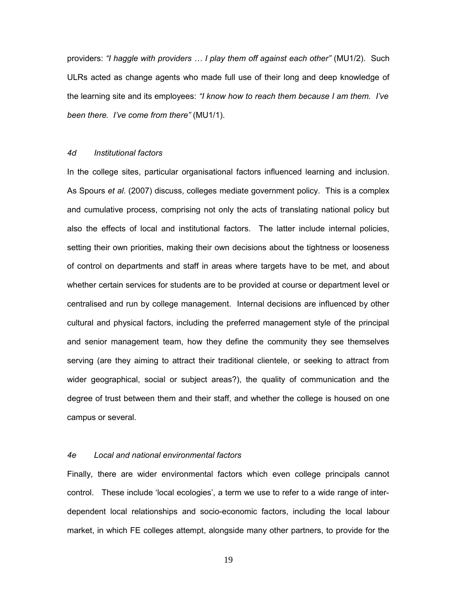providers: *"I haggle with providers … I play them off against each other"* (MU1/2). Such ULRs acted as change agents who made full use of their long and deep knowledge of the learning site and its employees: *"I know how to reach them because I am them. I've been there. I've come from there"* (MU1/1).

#### *4d Institutional factors*

In the college sites, particular organisational factors influenced learning and inclusion. As Spours *et al*. (2007) discuss, colleges mediate government policy. This is a complex and cumulative process, comprising not only the acts of translating national policy but also the effects of local and institutional factors. The latter include internal policies, setting their own priorities, making their own decisions about the tightness or looseness of control on departments and staff in areas where targets have to be met, and about whether certain services for students are to be provided at course or department level or centralised and run by college management. Internal decisions are influenced by other cultural and physical factors, including the preferred management style of the principal and senior management team, how they define the community they see themselves serving (are they aiming to attract their traditional clientele, or seeking to attract from wider geographical, social or subject areas?), the quality of communication and the degree of trust between them and their staff, and whether the college is housed on one campus or several.

#### *4e Local and national environmental factors*

Finally, there are wider environmental factors which even college principals cannot control. These include 'local ecologies', a term we use to refer to a wide range of interdependent local relationships and socio-economic factors, including the local labour market, in which FE colleges attempt, alongside many other partners, to provide for the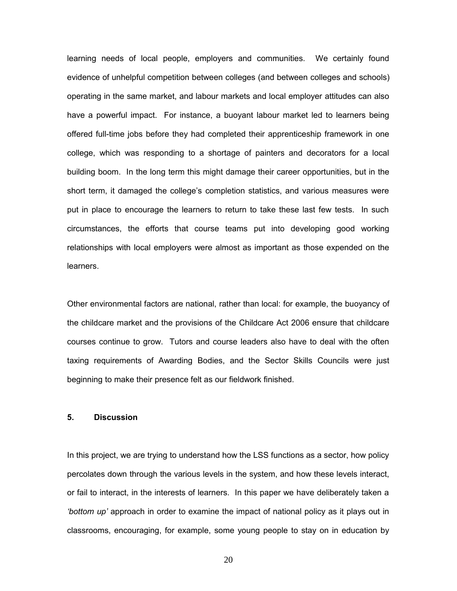learning needs of local people, employers and communities. We certainly found evidence of unhelpful competition between colleges (and between colleges and schools) operating in the same market, and labour markets and local employer attitudes can also have a powerful impact. For instance, a buoyant labour market led to learners being offered full-time jobs before they had completed their apprenticeship framework in one college, which was responding to a shortage of painters and decorators for a local building boom. In the long term this might damage their career opportunities, but in the short term, it damaged the college's completion statistics, and various measures were put in place to encourage the learners to return to take these last few tests. In such circumstances, the efforts that course teams put into developing good working relationships with local employers were almost as important as those expended on the learners.

Other environmental factors are national, rather than local: for example, the buoyancy of the childcare market and the provisions of the Childcare Act 2006 ensure that childcare courses continue to grow. Tutors and course leaders also have to deal with the often taxing requirements of Awarding Bodies, and the Sector Skills Councils were just beginning to make their presence felt as our fieldwork finished.

#### **5. Discussion**

In this project, we are trying to understand how the LSS functions as a sector, how policy percolates down through the various levels in the system, and how these levels interact, or fail to interact, in the interests of learners. In this paper we have deliberately taken a *'bottom up'* approach in order to examine the impact of national policy as it plays out in classrooms, encouraging, for example, some young people to stay on in education by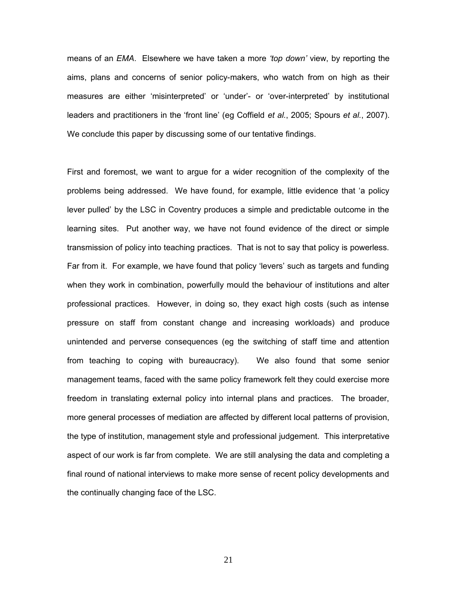means of an *EMA*. Elsewhere we have taken a more *'top down'* view, by reporting the aims, plans and concerns of senior policy-makers, who watch from on high as their measures are either 'misinterpreted' or 'under'- or 'over-interpreted' by institutional leaders and practitioners in the 'front line' (eg Coffield *et al.*, 2005; Spours *et al.*, 2007). We conclude this paper by discussing some of our tentative findings.

First and foremost, we want to argue for a wider recognition of the complexity of the problems being addressed. We have found, for example, little evidence that 'a policy lever pulled' by the LSC in Coventry produces a simple and predictable outcome in the learning sites. Put another way, we have not found evidence of the direct or simple transmission of policy into teaching practices. That is not to say that policy is powerless. Far from it. For example, we have found that policy 'levers' such as targets and funding when they work in combination, powerfully mould the behaviour of institutions and alter professional practices. However, in doing so, they exact high costs (such as intense pressure on staff from constant change and increasing workloads) and produce unintended and perverse consequences (eg the switching of staff time and attention from teaching to coping with bureaucracy). We also found that some senior management teams, faced with the same policy framework felt they could exercise more freedom in translating external policy into internal plans and practices. The broader, more general processes of mediation are affected by different local patterns of provision, the type of institution, management style and professional judgement. This interpretative aspect of our work is far from complete. We are still analysing the data and completing a final round of national interviews to make more sense of recent policy developments and the continually changing face of the LSC.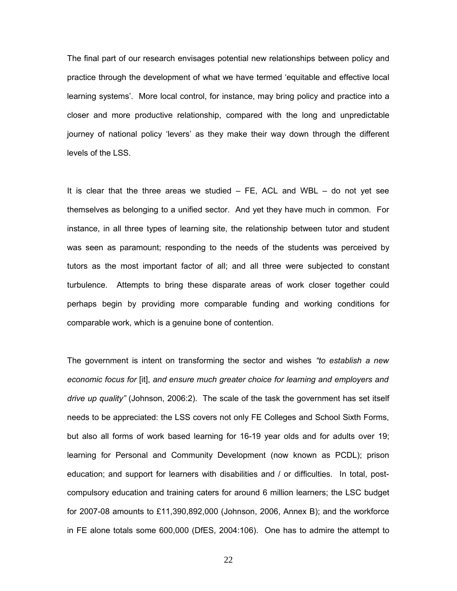The final part of our research envisages potential new relationships between policy and practice through the development of what we have termed 'equitable and effective local learning systems'. More local control, for instance, may bring policy and practice into a closer and more productive relationship, compared with the long and unpredictable journey of national policy 'levers' as they make their way down through the different levels of the LSS.

It is clear that the three areas we studied  $-$  FE, ACL and WBL  $-$  do not yet see themselves as belonging to a unified sector. And yet they have much in common. For instance, in all three types of learning site, the relationship between tutor and student was seen as paramount; responding to the needs of the students was perceived by tutors as the most important factor of all; and all three were subjected to constant turbulence. Attempts to bring these disparate areas of work closer together could perhaps begin by providing more comparable funding and working conditions for comparable work, which is a genuine bone of contention.

The government is intent on transforming the sector and wishes *"to establish a new economic focus for* [it], *and ensure much greater choice for learning and employers and drive up quality"* (Johnson, 2006:2). The scale of the task the government has set itself needs to be appreciated: the LSS covers not only FE Colleges and School Sixth Forms, but also all forms of work based learning for 16-19 year olds and for adults over 19; learning for Personal and Community Development (now known as PCDL); prison education; and support for learners with disabilities and / or difficulties. In total, postcompulsory education and training caters for around 6 million learners; the LSC budget for 2007-08 amounts to £11,390,892,000 (Johnson, 2006, Annex B); and the workforce in FE alone totals some 600,000 (DfES, 2004:106). One has to admire the attempt to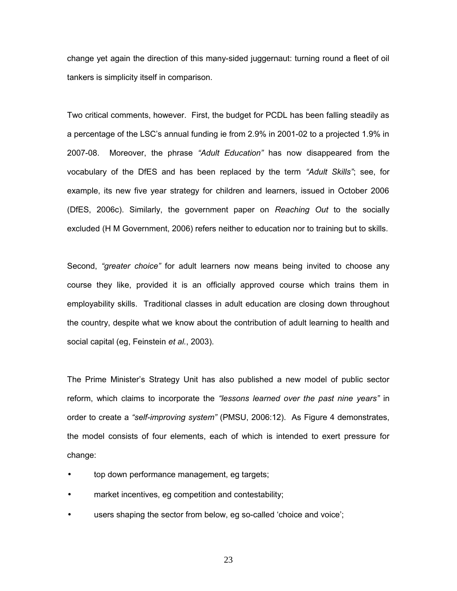change yet again the direction of this many-sided juggernaut: turning round a fleet of oil tankers is simplicity itself in comparison.

Two critical comments, however. First, the budget for PCDL has been falling steadily as a percentage of the LSC's annual funding ie from 2.9% in 2001-02 to a projected 1.9% in 2007-08. Moreover, the phrase *"Adult Education"* has now disappeared from the vocabulary of the DfES and has been replaced by the term *"Adult Skills"*; see, for example, its new five year strategy for children and learners, issued in October 2006 (DfES, 2006c). Similarly, the government paper on *Reaching Out* to the socially excluded (H M Government, 2006) refers neither to education nor to training but to skills.

Second, *"greater choice"* for adult learners now means being invited to choose any course they like, provided it is an officially approved course which trains them in employability skills. Traditional classes in adult education are closing down throughout the country, despite what we know about the contribution of adult learning to health and social capital (eg, Feinstein *et al.*, 2003).

The Prime Minister's Strategy Unit has also published a new model of public sector reform, which claims to incorporate the *"lessons learned over the past nine years"* in order to create a *"self-improving system"* (PMSU, 2006:12). As Figure 4 demonstrates, the model consists of four elements, each of which is intended to exert pressure for change:

- top down performance management, eg targets;
- market incentives, eg competition and contestability;
- users shaping the sector from below, eg so-called 'choice and voice';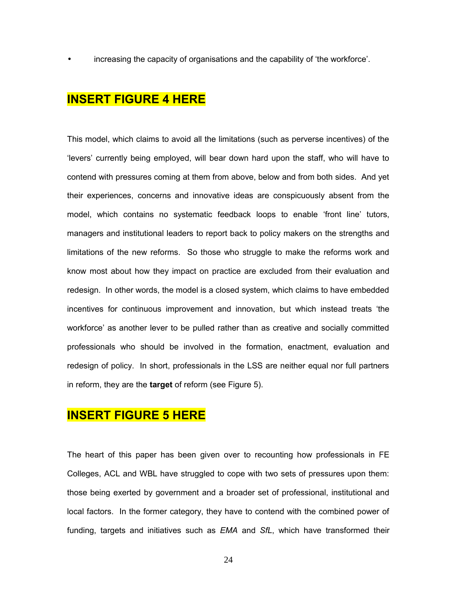• increasing the capacity of organisations and the capability of 'the workforce'.

### **INSERT FIGURE 4 HERE**

This model, which claims to avoid all the limitations (such as perverse incentives) of the 'levers' currently being employed, will bear down hard upon the staff, who will have to contend with pressures coming at them from above, below and from both sides. And yet their experiences, concerns and innovative ideas are conspicuously absent from the model, which contains no systematic feedback loops to enable 'front line' tutors, managers and institutional leaders to report back to policy makers on the strengths and limitations of the new reforms. So those who struggle to make the reforms work and know most about how they impact on practice are excluded from their evaluation and redesign. In other words, the model is a closed system, which claims to have embedded incentives for continuous improvement and innovation, but which instead treats 'the workforce' as another lever to be pulled rather than as creative and socially committed professionals who should be involved in the formation, enactment, evaluation and redesign of policy. In short, professionals in the LSS are neither equal nor full partners in reform, they are the **target** of reform (see Figure 5).

### **INSERT FIGURE 5 HERE**

The heart of this paper has been given over to recounting how professionals in FE Colleges, ACL and WBL have struggled to cope with two sets of pressures upon them: those being exerted by government and a broader set of professional, institutional and local factors. In the former category, they have to contend with the combined power of funding, targets and initiatives such as *EMA* and *SfL*, which have transformed their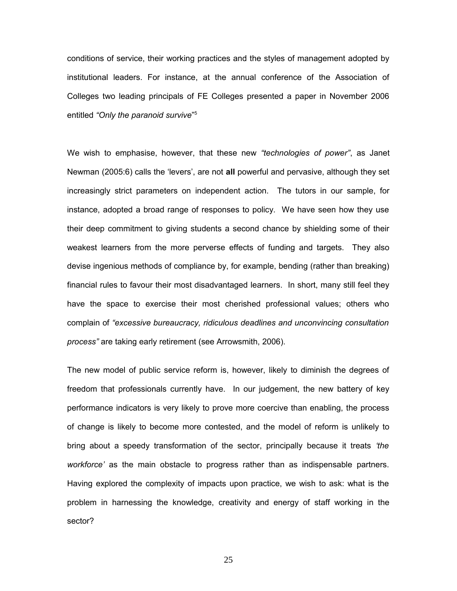conditions of service, their working practices and the styles of management adopted by institutional leaders. For instance, at the annual conference of the Association of Colleges two leading principals of FE Colleges presented a paper in November 2006 entitled *"Only the paranoid survive*" [5](#page-29-4)

We wish to emphasise, however, that these new *"technologies of power"*, as Janet Newman (2005:6) calls the 'levers', are not **all** powerful and pervasive, although they set increasingly strict parameters on independent action. The tutors in our sample, for instance, adopted a broad range of responses to policy. We have seen how they use their deep commitment to giving students a second chance by shielding some of their weakest learners from the more perverse effects of funding and targets. They also devise ingenious methods of compliance by, for example, bending (rather than breaking) financial rules to favour their most disadvantaged learners. In short, many still feel they have the space to exercise their most cherished professional values; others who complain of *"excessive bureaucracy, ridiculous deadlines and unconvincing consultation process"* are taking early retirement (see Arrowsmith, 2006).

The new model of public service reform is, however, likely to diminish the degrees of freedom that professionals currently have. In our judgement, the new battery of key performance indicators is very likely to prove more coercive than enabling, the process of change is likely to become more contested, and the model of reform is unlikely to bring about a speedy transformation of the sector, principally because it treats *'the workforce'* as the main obstacle to progress rather than as indispensable partners. Having explored the complexity of impacts upon practice, we wish to ask: what is the problem in harnessing the knowledge, creativity and energy of staff working in the sector?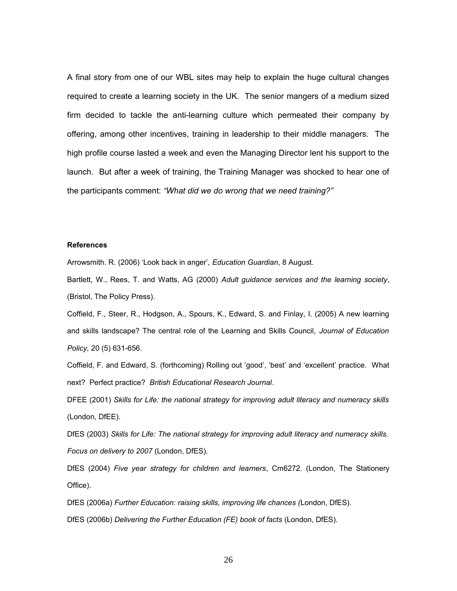A final story from one of our WBL sites may help to explain the huge cultural changes required to create a learning society in the UK. The senior mangers of a medium sized firm decided to tackle the anti-learning culture which permeated their company by offering, among other incentives, training in leadership to their middle managers. The high profile course lasted a week and even the Managing Director lent his support to the launch. But after a week of training, the Training Manager was shocked to hear one of the participants comment: *"What did we do wrong that we need training?"*

#### **References**

Arrowsmith. R. (2006) 'Look back in anger', *Education Guardian*, 8 August.

Bartlett, W., Rees, T. and Watts, AG (2000) *Adult guidance services and the learning society*, (Bristol, The Policy Press).

Coffield, F., Steer, R., Hodgson, A., Spours, K., Edward, S. and Finlay, I. (2005) A new learning and skills landscape? The central role of the Learning and Skills Council, *Journal of Education Policy,* 20 (5) 631-656.

Coffield, F. and Edward, S. (forthcoming) Rolling out 'good', 'best' and 'excellent' practice. What next? Perfect practice? *British Educational Research Journal*.

DFEE (2001) *Skills for Life: the national strategy for improving adult literacy and numeracy skills* (London, DfEE).

DfES (2003) *Skills for Life: The national strategy for improving adult literacy and numeracy skills. Focus on delivery to 2007* (London, DfES).

DfES (2004) *Five year strategy for children and learners*, Cm6272. (London, The Stationery Office).

DfES (2006a) *Further Education: raising skills, improving life chances (*London, DfES). DfES (2006b) *Delivering the Further Education (FE) book of facts* (London, DfES).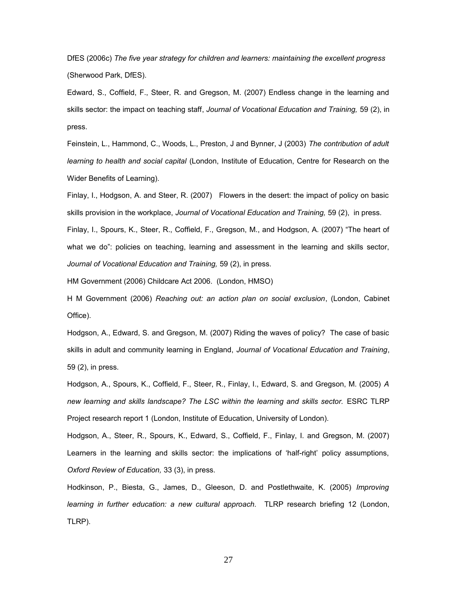DfES (2006c) *The five year strategy for children and learners: maintaining the excellent progress* (Sherwood Park, DfES).

Edward, S., Coffield, F., Steer, R. and Gregson, M. (2007) Endless change in the learning and skills sector: the impact on teaching staff, *Journal of Vocational Education and Training,* 59 (2), in press.

Feinstein, L., Hammond, C., Woods, L., Preston, J and Bynner, J (2003) *The contribution of adult learning to health and social capital* (London, Institute of Education, Centre for Research on the Wider Benefits of Learning).

Finlay, I., Hodgson, A. and Steer, R. (2007) Flowers in the desert: the impact of policy on basic skills provision in the workplace, *Journal of Vocational Education and Training,* 59 (2), in press*.* Finlay, I., Spours, K., Steer, R., Coffield, F., Gregson, M., and Hodgson, A. (2007) "The heart of what we do": policies on teaching, learning and assessment in the learning and skills sector, *Journal of Vocational Education and Training,* 59 (2), in press.

HM Government (2006) Childcare Act 2006. (London, HMSO)

H M Government (2006) *Reaching out: an action plan on social exclusion*, (London, Cabinet Office).

Hodgson, A., Edward, S. and Gregson, M. (2007) Riding the waves of policy? The case of basic skills in adult and community learning in England, *Journal of Vocational Education and Training*, 59 (2), in press.

Hodgson, A., Spours, K., Coffield, F., Steer, R., Finlay, I., Edward, S. and Gregson, M. (2005) *A new learning and skills landscape? The LSC within the learning and skills sector.* ESRC TLRP Project research report 1 (London, Institute of Education, University of London).

Hodgson, A., Steer, R., Spours, K., Edward, S., Coffield, F., Finlay, I. and Gregson, M. (2007) Learners in the learning and skills sector: the implications of 'half-right' policy assumptions, *Oxford Review of Education,* 33 (3), in press*.*

Hodkinson, P., Biesta, G., James, D., Gleeson, D. and Postlethwaite, K. (2005) *Improving* learning in further education: a new cultural approach. TLRP research briefing 12 (London, TLRP).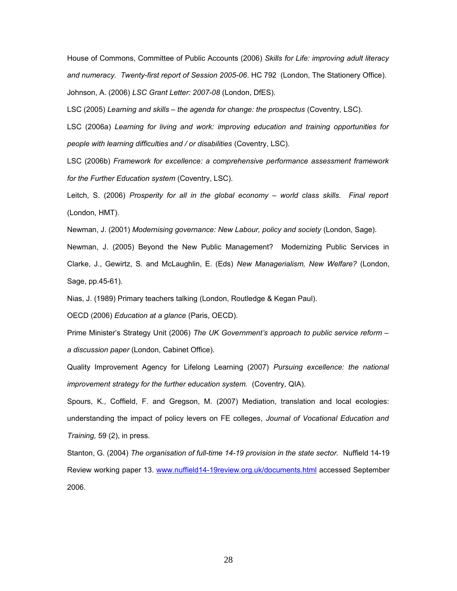House of Commons, Committee of Public Accounts (2006) *Skills for Life: improving adult literacy and numeracy. Twenty-first report of Session 2005-06*. HC 792 (London, The Stationery Office). Johnson, A. (2006) *LSC Grant Letter: 2007-08* (London, DfES).

LSC (2005) *Learning and skills – the agenda for change: the prospectus* (Coventry, LSC).

LSC (2006a) *Learning for living and work: improving education and training opportunities for people with learning difficulties and / or disabilities* (Coventry, LSC).

LSC (2006b) *Framework for excellence: a comprehensive performance assessment framework for the Further Education system* (Coventry, LSC).

Leitch, S. (2006) *Prosperity for all in the global economy – world class skills. Final report* (London, HMT).

Newman, J. (2001) *Modernising governance: New Labour, policy and society* (London, Sage).

Newman, J. (2005) Beyond the New Public Management? Modernizing Public Services in Clarke, J., Gewirtz, S. and McLaughlin, E. (Eds) *New Managerialism, New Welfare?* (London, Sage, pp.45-61).

Nias, J. (1989) Primary teachers talking (London, Routledge & Kegan Paul).

OECD (2006) *Education at a glance* (Paris, OECD).

Prime Minister's Strategy Unit (2006) *The UK Government's approach to public service reform – a discussion paper* (London, Cabinet Office).

Quality Improvement Agency for Lifelong Learning (2007) *Pursuing excellence: the national improvement strategy for the further education system.* (Coventry, QIA).

Spours, K., Coffield, F. and Gregson, M. (2007) Mediation, translation and local ecologies: understanding the impact of policy levers on FE colleges, *Journal of Vocational Education and Training,* 59 (2), in press.

Stanton, G. (2004) *The organisation of full-time 14-19 provision in the state sector.* Nuffield 14-19 Review working paper 13. [www.nuffield14-19review.org.uk/documents.html](http://www.nuffield14-19review.org.uk/documents.html) accessed September 2006.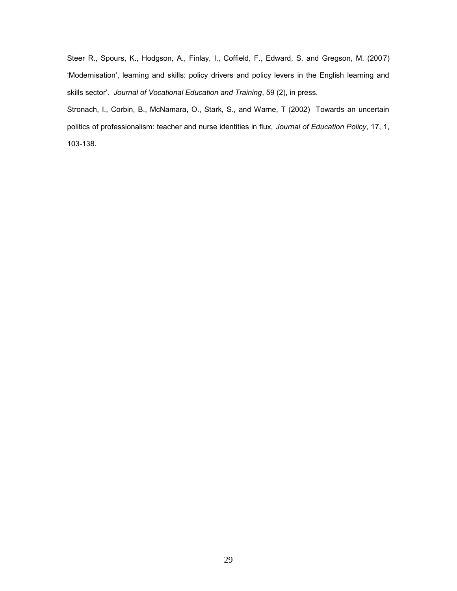Steer R., Spours, K., Hodgson, A., Finlay, I., Coffield, F., Edward, S. and Gregson, M. (2007) 'Modernisation', learning and skills: policy drivers and policy levers in the English learning and skills sector'. *Journal of Vocational Education and Training*, 59 (2), in press.

Stronach, I., Corbin, B., McNamara, O., Stark, S., and Warne, T (2002) Towards an uncertain politics of professionalism: teacher and nurse identities in flux, *Journal of Education Policy*, 17, 1, 103-138.